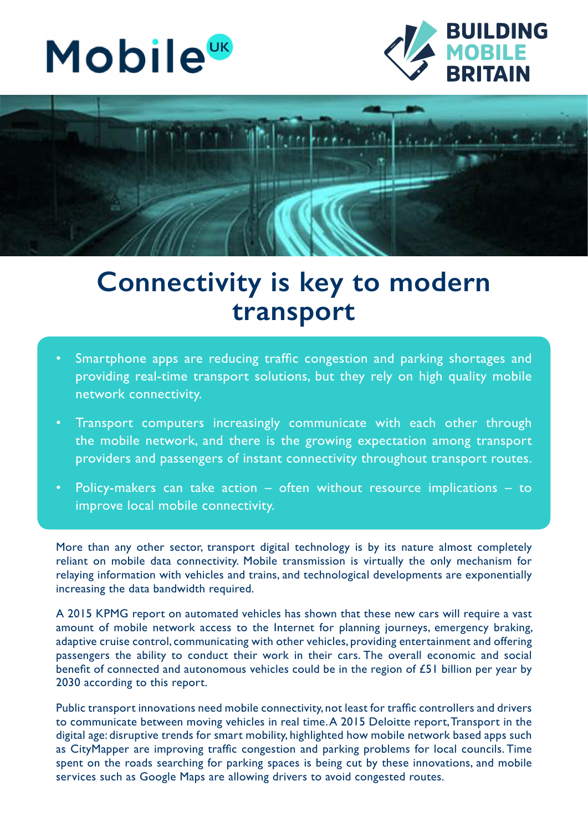





## **Connectivity is key to modern transport**

- Smartphone apps are reducing traffic congestion and parking shortages and providing real-time transport solutions, but they rely on high quality mobile network connectivity.
- Transport computers increasingly communicate with each other through the mobile network, and there is the growing expectation among transport providers and passengers of instant connectivity throughout transport routes.
- Policy-makers can take action  $-$  often without resource implications  $-$  to improve local mobile connectivity.

More than any other sector, transport digital technology is by its nature almost completely reliant on mobile data connectivity. Mobile transmission is virtually the only mechanism for relaying information with vehicles and trains, and technological developments are exponentially increasing the data bandwidth required.

A 2015 KPMG report on automated vehicles has shown that these new cars will require a vast amount of mobile network access to the Internet for planning journeys, emergency braking, adaptive cruise control, communicating with other vehicles, providing entertainment and offering passengers the ability to conduct their work in their cars. The overall economic and social benefit of connected and autonomous vehicles could be in the region of £51 billion per year by 2030 according to this report.

Public transport innovations need mobile connectivity, not least for traffic controllers and drivers to communicate between moving vehicles in real time. A 2015 Deloitte report, Transport in the digital age: disruptive trends for smart mobility, highlighted how mobile network based apps such as CityMapper are improving traffic congestion and parking problems for local councils. Time spent on the roads searching for parking spaces is being cut by these innovations, and mobile services such as Google Maps are allowing drivers to avoid congested routes.